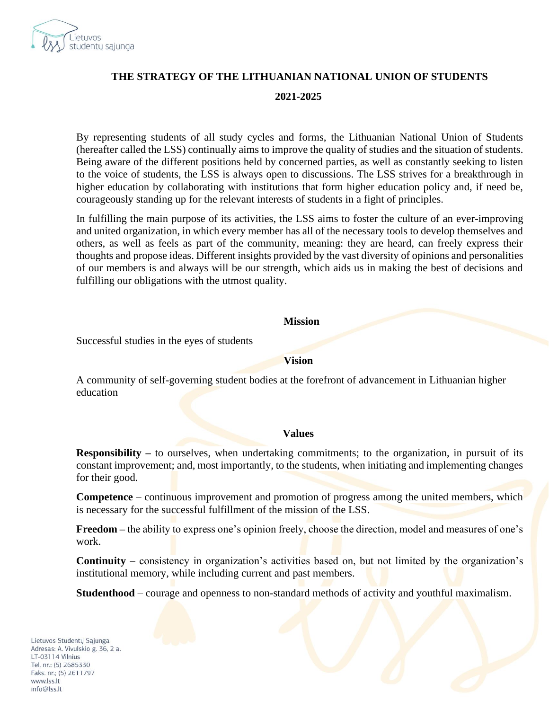

# **THE STRATEGY OF THE LITHUANIAN NATIONAL UNION OF STUDENTS 2021-2025**

By representing students of all study cycles and forms, the Lithuanian National Union of Students (hereafter called the LSS) continually aims to improve the quality of studies and the situation of students. Being aware of the different positions held by concerned parties, as well as constantly seeking to listen to the voice of students, the LSS is always open to discussions. The LSS strives for a breakthrough in higher education by collaborating with institutions that form higher education policy and, if need be, courageously standing up for the relevant interests of students in a fight of principles.

In fulfilling the main purpose of its activities, the LSS aims to foster the culture of an ever-improving and united organization, in which every member has all of the necessary tools to develop themselves and others, as well as feels as part of the community, meaning: they are heard, can freely express their thoughts and propose ideas. Different insights provided by the vast diversity of opinions and personalities of our members is and always will be our strength, which aids us in making the best of decisions and fulfilling our obligations with the utmost quality.

#### **Mission**

Successful studies in the eyes of students

#### **Vision**

A community of self-governing student bodies at the forefront of advancement in Lithuanian higher education

#### **Values**

**Responsibility** – to ourselves, when undertaking commitments; to the organization, in pursuit of its constant improvement; and, most importantly, to the students, when initiating and implementing changes for their good.

**Competence** – continuous improvement and promotion of progress among the united members, which is necessary for the successful fulfillment of the mission of the LSS.

**Freedom –** the ability to express one's opinion freely, choose the direction, model and measures of one's work.

**Continuity** – consistency in organization's activities based on, but not limited by the organization's institutional memory, while including current and past members.

**Studenthood** – courage and openness to non-standard methods of activity and youthful maximalism.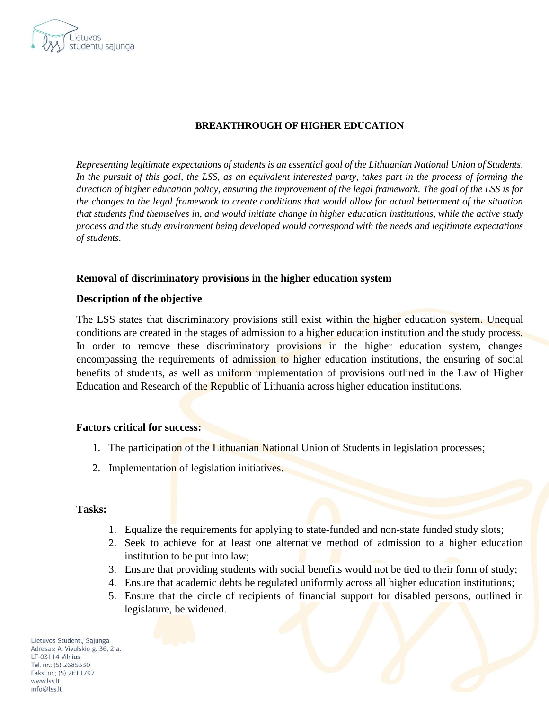

### **BREAKTHROUGH OF HIGHER EDUCATION**

*Representing legitimate expectations of students is an essential goal of the Lithuanian National Union of Students. In the pursuit of this goal, the LSS, as an equivalent interested party, takes part in the process of forming the direction of higher education policy, ensuring the improvement of the legal framework. The goal of the LSS is for the changes to the legal framework to create conditions that would allow for actual betterment of the situation that students find themselves in, and would initiate change in higher education institutions, while the active study process and the study environment being developed would correspond with the needs and legitimate expectations of students.*

### **Removal of discriminatory provisions in the higher education system**

#### **Description of the objective**

The LSS states that discriminatory provisions still exist within the higher education system. Unequal conditions are created in the stages of admission to a higher education institution and the study process. In order to remove these discriminatory provisions in the higher education system, changes encompassing the requirements of admission to higher education institutions, the ensuring of social benefits of students, as well as uniform implementation of provisions outlined in the Law of Higher Education and Research of the Republic of Lithuania across higher education institutions.

#### **Factors critical for success:**

- 1. The participation of the Lithuanian National Union of Students in legislation processes;
- 2. Implementation of legislation initiatives.

#### **Tasks:**

- 1. Equalize the requirements for applying to state-funded and non-state funded study slots;
- 2. Seek to achieve for at least one alternative method of admission to a higher education institution to be put into law;
- 3. Ensure that providing students with social benefits would not be tied to their form of study;
- 4. Ensure that academic debts be regulated uniformly across all higher education institutions;
- 5. Ensure that the circle of recipients of financial support for disabled persons, outlined in legislature, be widened.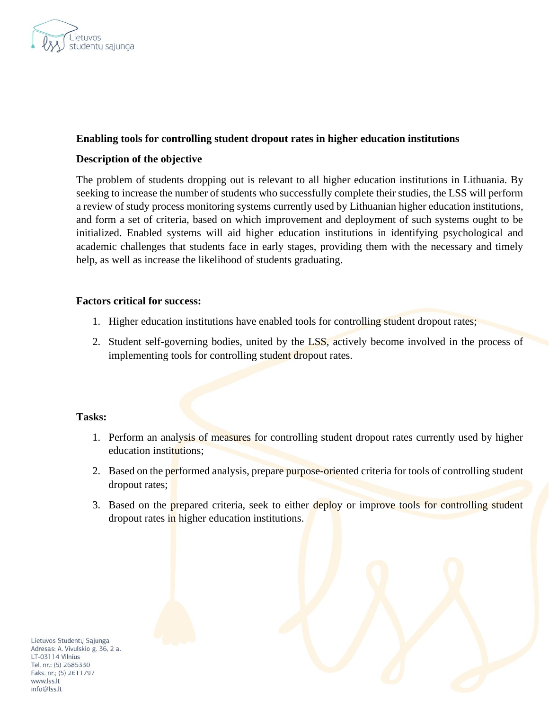

### **Enabling tools for controlling student dropout rates in higher education institutions**

### **Description of the objective**

The problem of students dropping out is relevant to all higher education institutions in Lithuania. By seeking to increase the number of students who successfully complete their studies, the LSS will perform a review of study process monitoring systems currently used by Lithuanian higher education institutions, and form a set of criteria, based on which improvement and deployment of such systems ought to be initialized. Enabled systems will aid higher education institutions in identifying psychological and academic challenges that students face in early stages, providing them with the necessary and timely help, as well as increase the likelihood of students graduating.

### **Factors critical for success:**

- 1. Higher education institutions have enabled tools for controlling student dropout rates;
- 2. Student self-governing bodies, united by the LSS, actively become involved in the process of implementing tools for controlling student dropout rates.

### **Tasks:**

- 1. Perform an analysis of measures for controlling student dropout rates currently used by higher education institutions;
- 2. Based on the performed analysis, prepare purpose-oriented criteria for tools of controlling student dropout rates;
- 3. Based on the prepared criteria, seek to either deploy or improve tools for controlling student dropout rates in higher education institutions.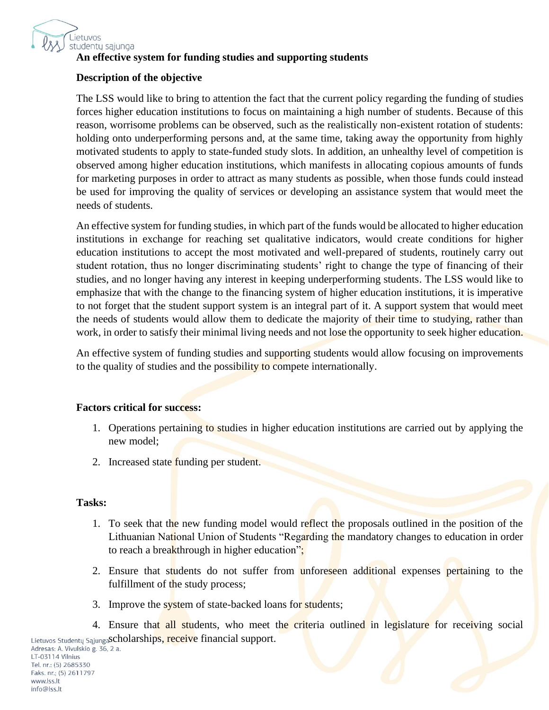

# **An effective system for funding studies and supporting students**

# **Description of the objective**

The LSS would like to bring to attention the fact that the current policy regarding the funding of studies forces higher education institutions to focus on maintaining a high number of students. Because of this reason, worrisome problems can be observed, such as the realistically non-existent rotation of students: holding onto underperforming persons and, at the same time, taking away the opportunity from highly motivated students to apply to state-funded study slots. In addition, an unhealthy level of competition is observed among higher education institutions, which manifests in allocating copious amounts of funds for marketing purposes in order to attract as many students as possible, when those funds could instead be used for improving the quality of services or developing an assistance system that would meet the needs of students.

An effective system for funding studies, in which part of the funds would be allocated to higher education institutions in exchange for reaching set qualitative indicators, would create conditions for higher education institutions to accept the most motivated and well-prepared of students, routinely carry out student rotation, thus no longer discriminating students' right to change the type of financing of their studies, and no longer having any interest in keeping underperforming students. The LSS would like to emphasize that with the change to the financing system of higher education institutions, it is imperative to not forget that the student support system is an integral part of it. A support system that would meet the needs of students would allow them to dedicate the majority of their time to studying, rather than work, in order to satisfy their minimal living needs and not lose the opportunity to seek higher education.

An effective system of funding studies and supporting students would allow focusing on improvements to the quality of studies and the possibility to compete internationally.

### **Factors critical for success:**

- 1. Operations pertaining to studies in higher education institutions are carried out by applying the new model;
- 2. Increased state funding per student.

### **Tasks:**

- 1. To seek that the new funding model would reflect the proposals outlined in the position of the Lithuanian National Union of Students "Regarding the mandatory changes to education in order to reach a breakthrough in higher education";
- 2. Ensure that students do not suffer from unforeseen additional expenses pertaining to the fulfillment of the study process;
- 3. Improve the system of state-backed loans for students;

4. Ensure that all students, who meet the criteria outlined in legislature for receiving social Lietuvos Studentų SąjungaScholarships, receive financial support.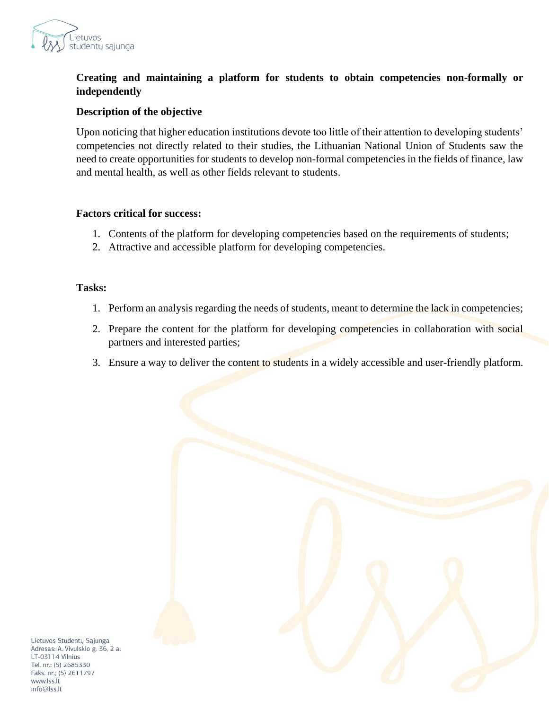

# **Creating and maintaining a platform for students to obtain competencies non-formally or independently**

### **Description of the objective**

Upon noticing that higher education institutions devote too little of their attention to developing students' competencies not directly related to their studies, the Lithuanian National Union of Students saw the need to create opportunities for students to develop non-formal competencies in the fields of finance, law and mental health, as well as other fields relevant to students.

#### **Factors critical for success:**

- 1. Contents of the platform for developing competencies based on the requirements of students;
- 2. Attractive and accessible platform for developing competencies.

### **Tasks:**

- 1. Perform an analysis regarding the needs of students, meant to determine the lack in competencies;
- 2. Prepare the content for the platform for developing competencies in collaboration with social partners and interested parties;
- 3. Ensure a way to deliver the content to students in a widely accessible and user-friendly platform.

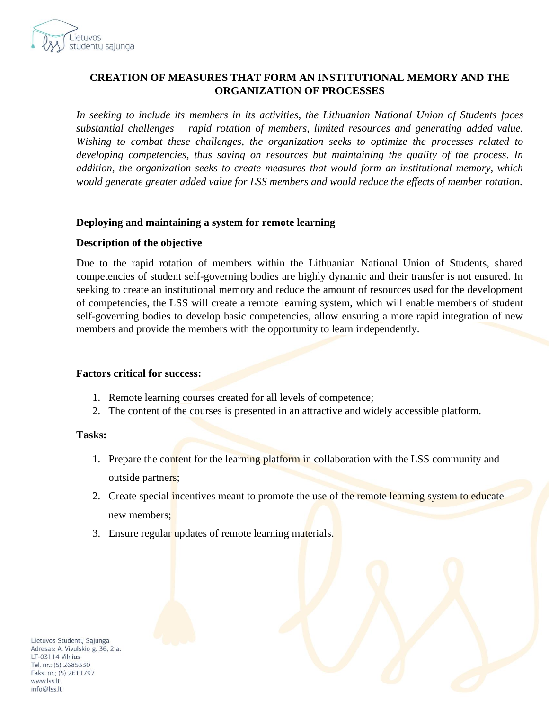

### **CREATION OF MEASURES THAT FORM AN INSTITUTIONAL MEMORY AND THE ORGANIZATION OF PROCESSES**

*In seeking to include its members in its activities, the Lithuanian National Union of Students faces substantial challenges – rapid rotation of members, limited resources and generating added value. Wishing to combat these challenges, the organization seeks to optimize the processes related to developing competencies, thus saving on resources but maintaining the quality of the process. In addition, the organization seeks to create measures that would form an institutional memory, which would generate greater added value for LSS members and would reduce the effects of member rotation.*

### **Deploying and maintaining a system for remote learning**

### **Description of the objective**

Due to the rapid rotation of members within the Lithuanian National Union of Students, shared competencies of student self-governing bodies are highly dynamic and their transfer is not ensured. In seeking to create an institutional memory and reduce the amount of resources used for the development of competencies, the LSS will create a remote learning system, which will enable members of student self-governing bodies to develop basic competencies, allow ensuring a more rapid integration of new members and provide the members with the opportunity to learn independently.

#### **Factors critical for success:**

- 1. Remote learning courses created for all levels of competence;
- 2. The content of the courses is presented in an attractive and widely accessible platform.

### **Tasks:**

- 1. Prepare the content for the learning platform in collaboration with the LSS community and outside partners;
- 2. Create special incentives meant to promote the use of the remote learning system to educate new members;
- 3. Ensure regular updates of remote learning materials.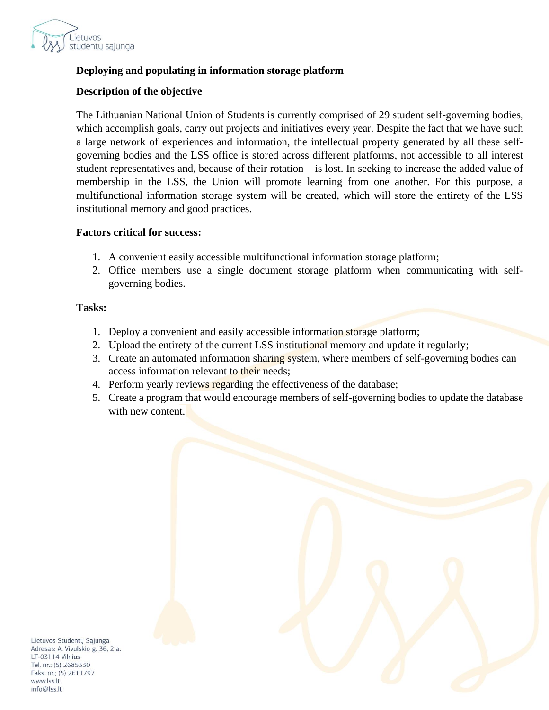

# **Deploying and populating in information storage platform**

# **Description of the objective**

The Lithuanian National Union of Students is currently comprised of 29 student self-governing bodies, which accomplish goals, carry out projects and initiatives every year. Despite the fact that we have such a large network of experiences and information, the intellectual property generated by all these selfgoverning bodies and the LSS office is stored across different platforms, not accessible to all interest student representatives and, because of their rotation – is lost. In seeking to increase the added value of membership in the LSS, the Union will promote learning from one another. For this purpose, a multifunctional information storage system will be created, which will store the entirety of the LSS institutional memory and good practices.

### **Factors critical for success:**

- 1. A convenient easily accessible multifunctional information storage platform;
- 2. Office members use a single document storage platform when communicating with selfgoverning bodies.

### **Tasks:**

- 1. Deploy a convenient and easily accessible information storage platform;
- 2. Upload the entirety of the current LSS institutional memory and update it regularly;
- 3. Create an automated information sharing system, where members of self-governing bodies can access information relevant to their needs;
- 4. Perform yearly reviews regarding the effectiveness of the database;
- 5. Create a program that would encourage members of self-governing bodies to update the database with new content.

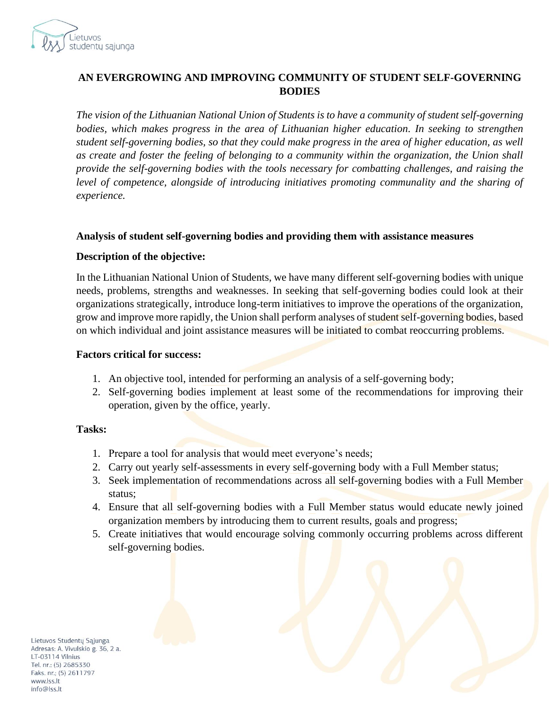

# **AN EVERGROWING AND IMPROVING COMMUNITY OF STUDENT SELF-GOVERNING BODIES**

*The vision of the Lithuanian National Union of Students is to have a community of student self-governing bodies, which makes progress in the area of Lithuanian higher education. In seeking to strengthen student self-governing bodies, so that they could make progress in the area of higher education, as well as create and foster the feeling of belonging to a community within the organization, the Union shall provide the self-governing bodies with the tools necessary for combatting challenges, and raising the*  level of competence, alongside of introducing initiatives promoting communality and the sharing of *experience.*

### **Analysis of student self-governing bodies and providing them with assistance measures**

### **Description of the objective:**

In the Lithuanian National Union of Students, we have many different self-governing bodies with unique needs, problems, strengths and weaknesses. In seeking that self-governing bodies could look at their organizations strategically, introduce long-term initiatives to improve the operations of the organization, grow and improve more rapidly, the Union shall perform analyses of student self-governing bodies, based on which individual and joint assistance measures will be initiated to combat reoccurring problems.

#### **Factors critical for success:**

- 1. An objective tool, intended for performing an analysis of a self-governing body;
- 2. Self-governing bodies implement at least some of the recommendations for improving their operation, given by the office, yearly.

### **Tasks:**

- 1. Prepare a tool for analysis that would meet everyone's needs;
- 2. Carry out yearly self-assessments in every self-governing body with a Full Member status;
- 3. Seek implementation of recommendations across all self-governing bodies with a Full Member status;
- 4. Ensure that all self-governing bodies with a Full Member status would educate newly joined organization members by introducing them to current results, goals and progress;
- 5. Create initiatives that would encourage solving commonly occurring problems across different self-governing bodies.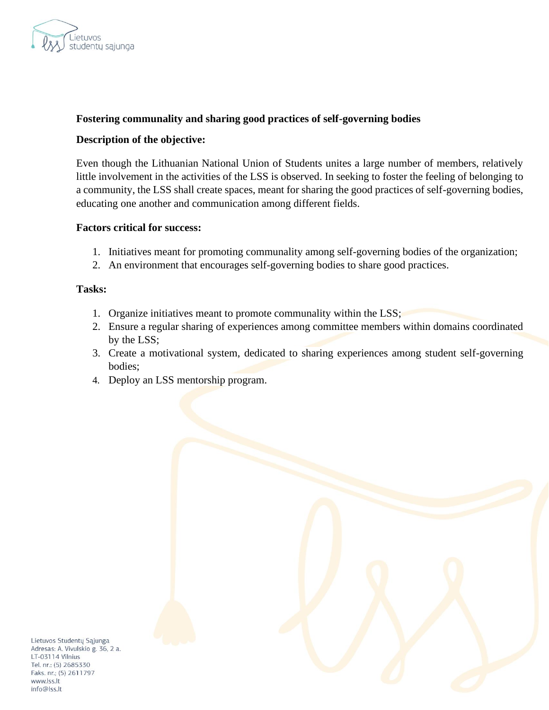

### **Fostering communality and sharing good practices of self-governing bodies**

### **Description of the objective:**

Even though the Lithuanian National Union of Students unites a large number of members, relatively little involvement in the activities of the LSS is observed. In seeking to foster the feeling of belonging to a community, the LSS shall create spaces, meant for sharing the good practices of self-governing bodies, educating one another and communication among different fields.

### **Factors critical for success:**

- 1. Initiatives meant for promoting communality among self-governing bodies of the organization;
- 2. An environment that encourages self-governing bodies to share good practices.

#### **Tasks:**

- 1. Organize initiatives meant to promote communality within the LSS;
- 2. Ensure a regular sharing of experiences among committee members within domains coordinated by the LSS;
- 3. Create a motivational system, dedicated to sharing experiences among student self-governing bodies;
- 4. Deploy an LSS mentorship program.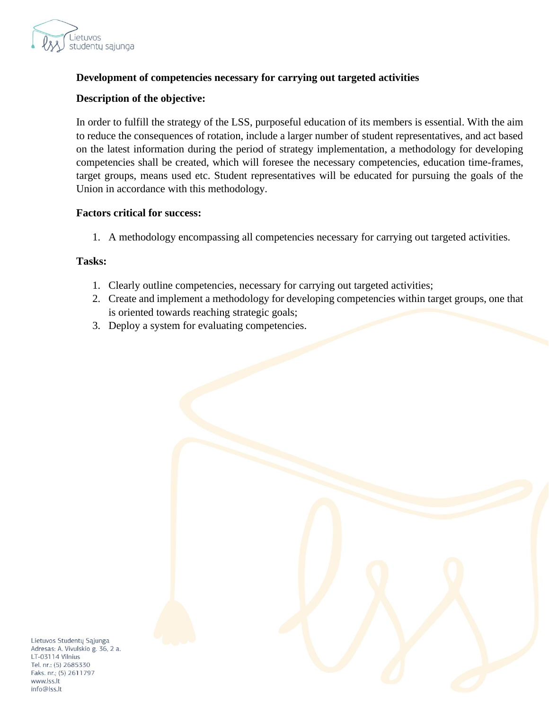

# **Development of competencies necessary for carrying out targeted activities**

# **Description of the objective:**

In order to fulfill the strategy of the LSS, purposeful education of its members is essential. With the aim to reduce the consequences of rotation, include a larger number of student representatives, and act based on the latest information during the period of strategy implementation, a methodology for developing competencies shall be created, which will foresee the necessary competencies, education time-frames, target groups, means used etc. Student representatives will be educated for pursuing the goals of the Union in accordance with this methodology.

### **Factors critical for success:**

1. A methodology encompassing all competencies necessary for carrying out targeted activities.

#### **Tasks:**

- 1. Clearly outline competencies, necessary for carrying out targeted activities;
- 2. Create and implement a methodology for developing competencies within target groups, one that is oriented towards reaching strategic goals;
- 3. Deploy a system for evaluating competencies.

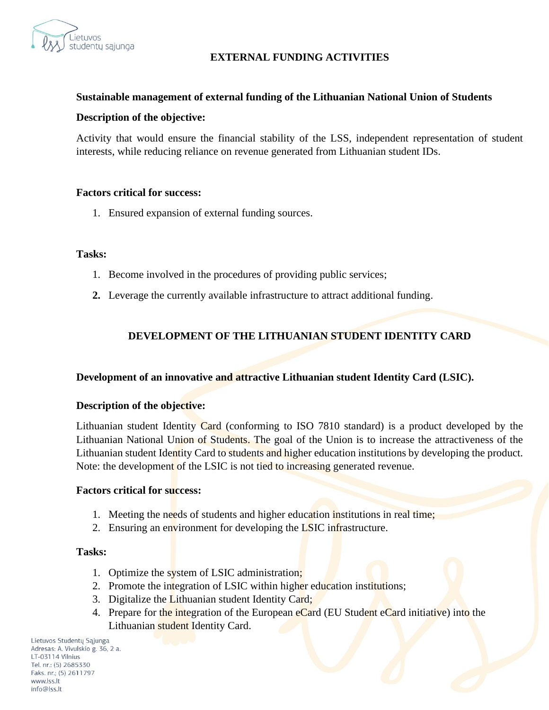

# **EXTERNAL FUNDING ACTIVITIES**

### **Sustainable management of external funding of the Lithuanian National Union of Students**

#### **Description of the objective:**

Activity that would ensure the financial stability of the LSS, independent representation of student interests, while reducing reliance on revenue generated from Lithuanian student IDs.

#### **Factors critical for success:**

1. Ensured expansion of external funding sources.

#### **Tasks:**

- 1. Become involved in the procedures of providing public services;
- **2.** Leverage the currently available infrastructure to attract additional funding.

# **DEVELOPMENT OF THE LITHUANIAN STUDENT IDENTITY CARD**

### **Development of an innovative and attractive Lithuanian student Identity Card (LSIC).**

#### **Description of the objective:**

Lithuanian student Identity Card (conforming to ISO 7810 standard) is a product developed by the Lithuanian National Union of Students. The goal of the Union is to increase the attractiveness of the Lithuanian student Identity Card to students and higher education institutions by developing the product. Note: the development of the LSIC is not tied to increasing generated revenue.

#### **Factors critical for success:**

- 1. Meeting the needs of students and higher education institutions in real time;
- 2. Ensuring an environment for developing the LSIC infrastructure.

#### **Tasks:**

- 1. Optimize the system of LSIC administration;
- 2. Promote the integration of LSIC within higher education institutions;
- 3. Digitalize the Lithuanian student Identity Card;
- 4. Prepare for the integration of the European eCard (EU Student eCard initiative) into the Lithuanian student Identity Card.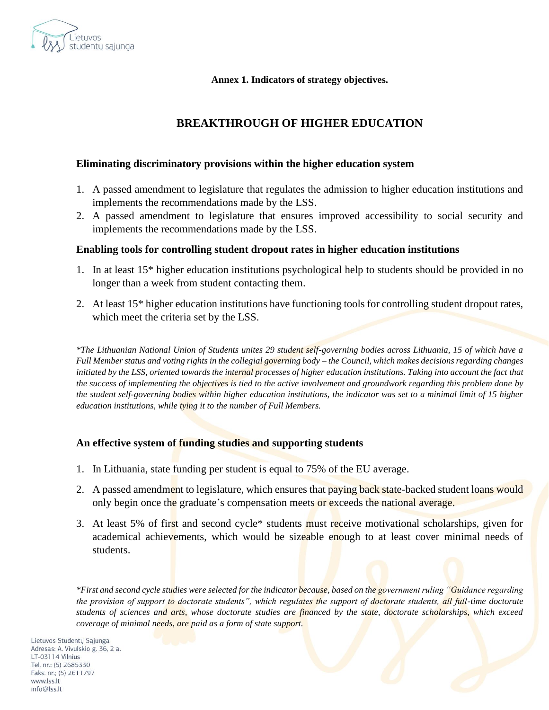

**Annex 1. Indicators of strategy objectives.** 

# **BREAKTHROUGH OF HIGHER EDUCATION**

### **Eliminating discriminatory provisions within the higher education system**

- 1. A passed amendment to legislature that regulates the admission to higher education institutions and implements the recommendations made by the LSS.
- 2. A passed amendment to legislature that ensures improved accessibility to social security and implements the recommendations made by the LSS.

### **Enabling tools for controlling student dropout rates in higher education institutions**

- 1. In at least 15\* higher education institutions psychological help to students should be provided in no longer than a week from student contacting them.
- 2. At least 15\* higher education institutions have functioning tools for controlling student dropout rates, which meet the criteria set by the LSS.

*\*The Lithuanian National Union of Students unites 29 student self-governing bodies across Lithuania, 15 of which have a Full Member status and voting rights in the collegial governing body – the Council, which makes decisions regarding changes*  initiated by the LSS, oriented towards the internal processes of higher education institutions. Taking into account the fact that *the success of implementing the objectives is tied to the active involvement and groundwork regarding this problem done by the student self-governing bodies within higher education institutions, the indicator was set to a minimal limit of 15 higher education institutions, while tying it to the number of Full Members.*

### **An effective system of funding studies and supporting students**

- 1. In Lithuania, state funding per student is equal to 75% of the EU average.
- 2. A passed amendment to legislature, which ensures that paying back state-backed student loans would only begin once the graduate's compensation meets or exceeds the national average.
- 3. At least 5% of first and second cycle\* students must receive motivational scholarships, given for academical achievements, which would be sizeable enough to at least cover minimal needs of students.

*\*First and second cycle studies were selected for the indicator because, based on the government ruling "Guidance regarding the provision of support to doctorate students", which regulates the support of doctorate students, all full-time doctorate students of sciences and arts, whose doctorate studies are financed by the state, doctorate scholarships, which exceed coverage of minimal needs, are paid as a form of state support.*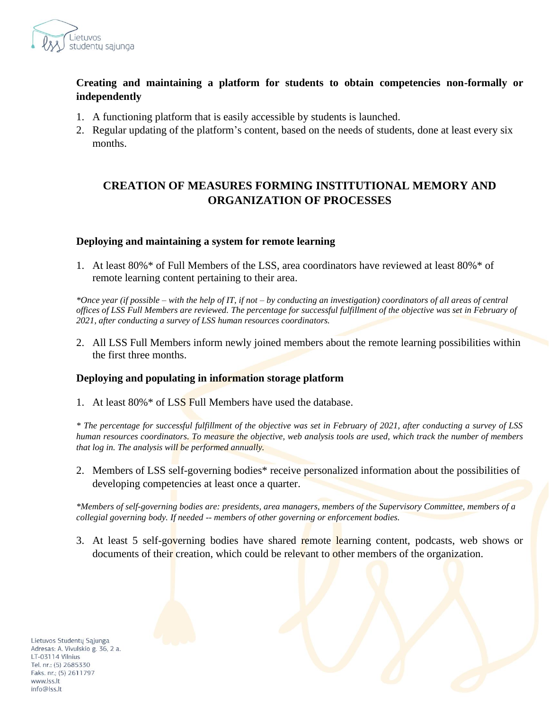

# **Creating and maintaining a platform for students to obtain competencies non-formally or independently**

- 1. A functioning platform that is easily accessible by students is launched.
- 2. Regular updating of the platform's content, based on the needs of students, done at least every six months.

# **CREATION OF MEASURES FORMING INSTITUTIONAL MEMORY AND ORGANIZATION OF PROCESSES**

### **Deploying and maintaining a system for remote learning**

1. At least 80%\* of Full Members of the LSS, area coordinators have reviewed at least 80%\* of remote learning content pertaining to their area.

*\*Once year (if possible – with the help of IT, if not – by conducting an investigation) coordinators of all areas of central offices of LSS Full Members are reviewed. The percentage for successful fulfillment of the objective was set in February of 2021, after conducting a survey of LSS human resources coordinators.*

2. All LSS Full Members inform newly joined members about the remote learning possibilities within the first three months.

### **Deploying and populating in information storage platform**

1. At least  $80\% *$  of LSS Full Members have used the database.

*\* The percentage for successful fulfillment of the objective was set in February of 2021, after conducting a survey of LSS human resources coordinators. To measure the objective, web analysis tools are used, which track the number of members that log in. The analysis will be performed annually.*

2. Members of LSS self-governing bodies\* receive personalized information about the possibilities of developing competencies at least once a quarter.

*\*Members of self-governing bodies are: presidents, area managers, members of the Supervisory Committee, members of a collegial governing body. If needed -- members of other governing or enforcement bodies.*

3. At least 5 self-governing bodies have shared remote learning content, podcasts, web shows or documents of their creation, which could be relevant to other members of the organization.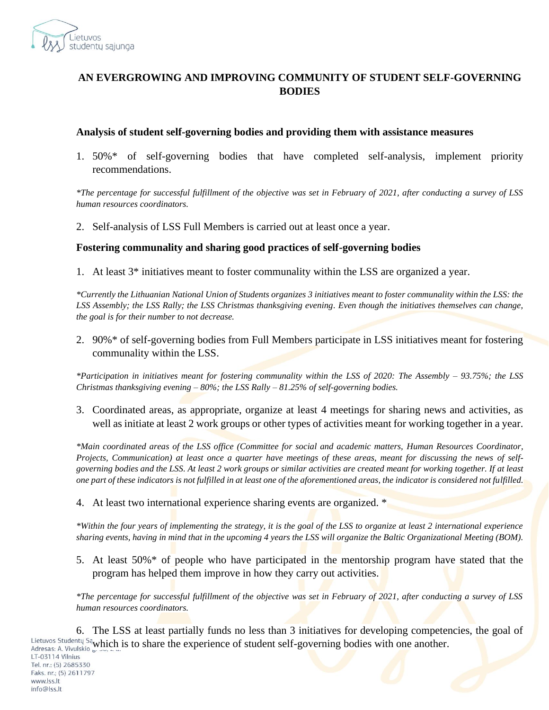

# **AN EVERGROWING AND IMPROVING COMMUNITY OF STUDENT SELF-GOVERNING BODIES**

#### **Analysis of student self-governing bodies and providing them with assistance measures**

1. 50%\* of self-governing bodies that have completed self-analysis, implement priority recommendations.

*\*The percentage for successful fulfillment of the objective was set in February of 2021, after conducting a survey of LSS human resources coordinators.*

2. Self-analysis of LSS Full Members is carried out at least once a year.

#### **Fostering communality and sharing good practices of self-governing bodies**

1. At least 3\* initiatives meant to foster communality within the LSS are organized a year.

*\*Currently the Lithuanian National Union of Students organizes 3 initiatives meant to foster communality within the LSS: the LSS Assembly; the LSS Rally; the LSS Christmas thanksgiving evening. Even though the initiatives themselves can change, the goal is for their number to not decrease.*

2. 90%\* of self-governing bodies from Full Members participate in LSS initiatives meant for fostering communality within the LSS.

*\*Participation in initiatives meant for fostering communality within the LSS of 2020: The Assembly – 93.75%; the LSS Christmas thanksgiving evening – 80%; the LSS Rally – 81.25% of self-governing bodies.*

3. Coordinated areas, as appropriate, organize at least 4 meetings for sharing news and activities, as well as initiate at least 2 work groups or other types of activities meant for working together in a year.

*\*Main coordinated areas of the LSS office (Committee for social and academic matters, Human Resources Coordinator, Projects, Communication) at least once a quarter have meetings of these areas, meant for discussing the news of selfgoverning bodies and the LSS. At least 2 work groups or similar activities are created meant for working together. If at least one part of these indicators is not fulfilled in at least one of the aforementioned areas, the indicator is considered not fulfilled.*

4. At least two international experience sharing events are organized. \*

*\*Within the four years of implementing the strategy, it is the goal of the LSS to organize at least 2 international experience sharing events, having in mind that in the upcoming 4 years the LSS will organize the Baltic Organizational Meeting (BOM).*

5. At least 50%\* of people who have participated in the mentorship program have stated that the program has helped them improve in how they carry out activities.

*\*The percentage for successful fulfillment of the objective was set in February of 2021, after conducting a survey of LSS human resources coordinators.*

6. The LSS at least partially funds no less than 3 initiatives for developing competencies, the goal of Lietuvos Studentų Sa<sub>w</sub>hich is to share the experience of student self-governing bodies with one another.